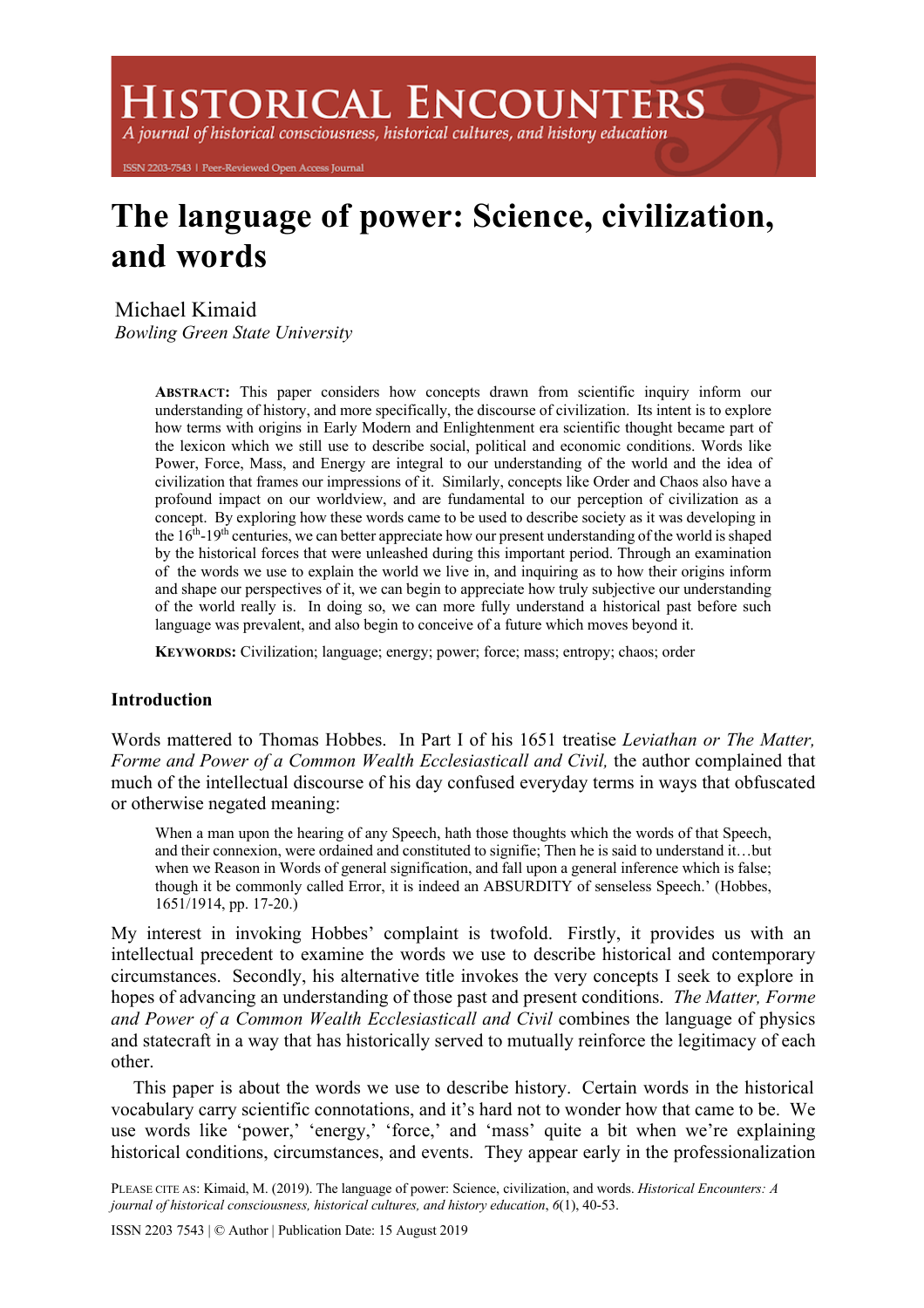**ISTORICAL ENCOUNTERS** 

A journal of historical consciousness, historical cultures, and history education

ISSN 2203-7543 | Peer-Reviewed Open Access Journal

# **The language of power: Science, civilization, and words**

Michael Kimaid *Bowling Green State University*

> **ABSTRACT:** This paper considers how concepts drawn from scientific inquiry inform our understanding of history, and more specifically, the discourse of civilization. Its intent is to explore how terms with origins in Early Modern and Enlightenment era scientific thought became part of the lexicon which we still use to describe social, political and economic conditions. Words like Power, Force, Mass, and Energy are integral to our understanding of the world and the idea of civilization that frames our impressions of it. Similarly, concepts like Order and Chaos also have a profound impact on our worldview, and are fundamental to our perception of civilization as a concept. By exploring how these words came to be used to describe society as it was developing in the  $16<sup>th</sup>$ -19<sup>th</sup> centuries, we can better appreciate how our present understanding of the world is shaped by the historical forces that were unleashed during this important period. Through an examination of the words we use to explain the world we live in, and inquiring as to how their origins inform and shape our perspectives of it, we can begin to appreciate how truly subjective our understanding of the world really is. In doing so, we can more fully understand a historical past before such language was prevalent, and also begin to conceive of a future which moves beyond it.

**KEYWORDS:** Civilization; language; energy; power; force; mass; entropy; chaos; order

# **Introduction**

Words mattered to Thomas Hobbes. In Part I of his 1651 treatise *Leviathan or The Matter,*  Forme and Power of a Common Wealth Ecclesiasticall and Civil, the author complained that much of the intellectual discourse of his day confused everyday terms in ways that obfuscated or otherwise negated meaning:

When a man upon the hearing of any Speech, hath those thoughts which the words of that Speech, and their connexion, were ordained and constituted to signifie; Then he is said to understand it…but when we Reason in Words of general signification, and fall upon a general inference which is false; though it be commonly called Error, it is indeed an ABSURDITY of senseless Speech.' (Hobbes, 1651/1914, pp. 17-20.)

My interest in invoking Hobbes' complaint is twofold. Firstly, it provides us with an intellectual precedent to examine the words we use to describe historical and contemporary circumstances. Secondly, his alternative title invokes the very concepts I seek to explore in hopes of advancing an understanding of those past and present conditions. *The Matter, Forme and Power of a Common Wealth Ecclesiasticall and Civil* combines the language of physics and statecraft in a way that has historically served to mutually reinforce the legitimacy of each other.

This paper is about the words we use to describe history. Certain words in the historical vocabulary carry scientific connotations, and it's hard not to wonder how that came to be. We use words like 'power,' 'energy,' 'force,' and 'mass' quite a bit when we're explaining historical conditions, circumstances, and events. They appear early in the professionalization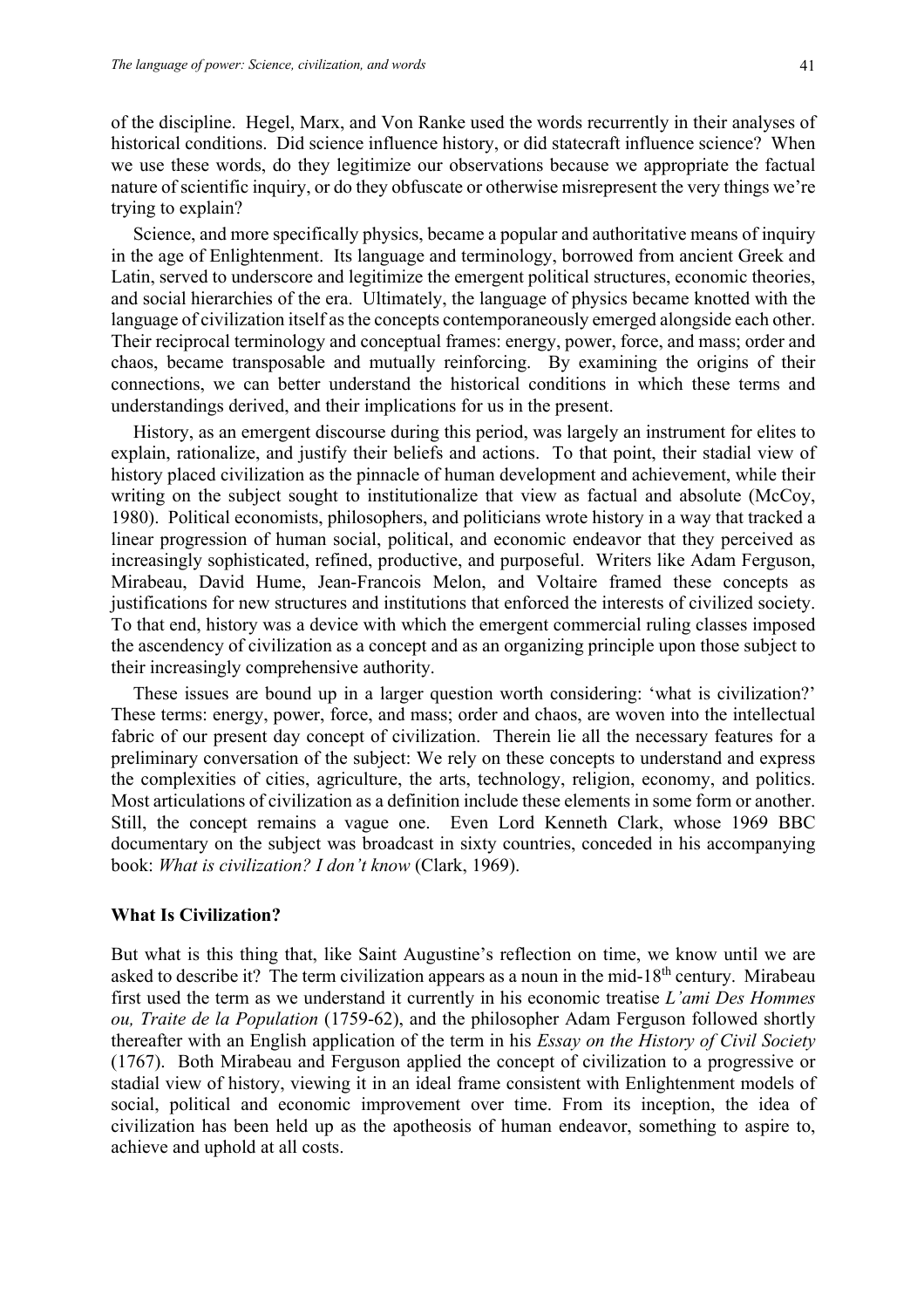of the discipline. Hegel, Marx, and Von Ranke used the words recurrently in their analyses of historical conditions. Did science influence history, or did statecraft influence science? When we use these words, do they legitimize our observations because we appropriate the factual nature of scientific inquiry, or do they obfuscate or otherwise misrepresent the very things we're trying to explain?

Science, and more specifically physics, became a popular and authoritative means of inquiry in the age of Enlightenment. Its language and terminology, borrowed from ancient Greek and Latin, served to underscore and legitimize the emergent political structures, economic theories, and social hierarchies of the era. Ultimately, the language of physics became knotted with the language of civilization itself as the concepts contemporaneously emerged alongside each other. Their reciprocal terminology and conceptual frames: energy, power, force, and mass; order and chaos, became transposable and mutually reinforcing. By examining the origins of their connections, we can better understand the historical conditions in which these terms and understandings derived, and their implications for us in the present.

History, as an emergent discourse during this period, was largely an instrument for elites to explain, rationalize, and justify their beliefs and actions. To that point, their stadial view of history placed civilization as the pinnacle of human development and achievement, while their writing on the subject sought to institutionalize that view as factual and absolute (McCoy, 1980). Political economists, philosophers, and politicians wrote history in a way that tracked a linear progression of human social, political, and economic endeavor that they perceived as increasingly sophisticated, refined, productive, and purposeful. Writers like Adam Ferguson, Mirabeau, David Hume, Jean-Francois Melon, and Voltaire framed these concepts as justifications for new structures and institutions that enforced the interests of civilized society. To that end, history was a device with which the emergent commercial ruling classes imposed the ascendency of civilization as a concept and as an organizing principle upon those subject to their increasingly comprehensive authority.

These issues are bound up in a larger question worth considering: 'what is civilization?' These terms: energy, power, force, and mass; order and chaos, are woven into the intellectual fabric of our present day concept of civilization. Therein lie all the necessary features for a preliminary conversation of the subject: We rely on these concepts to understand and express the complexities of cities, agriculture, the arts, technology, religion, economy, and politics. Most articulations of civilization as a definition include these elements in some form or another. Still, the concept remains a vague one. Even Lord Kenneth Clark, whose 1969 BBC documentary on the subject was broadcast in sixty countries, conceded in his accompanying book: *What is civilization? I don't know* (Clark, 1969).

#### **What Is Civilization?**

But what is this thing that, like Saint Augustine's reflection on time, we know until we are asked to describe it? The term civilization appears as a noun in the mid-18<sup>th</sup> century. Mirabeau first used the term as we understand it currently in his economic treatise *L'ami Des Hommes ou, Traite de la Population* (1759-62), and the philosopher Adam Ferguson followed shortly thereafter with an English application of the term in his *Essay on the History of Civil Society*  (1767). Both Mirabeau and Ferguson applied the concept of civilization to a progressive or stadial view of history, viewing it in an ideal frame consistent with Enlightenment models of social, political and economic improvement over time. From its inception, the idea of civilization has been held up as the apotheosis of human endeavor, something to aspire to, achieve and uphold at all costs.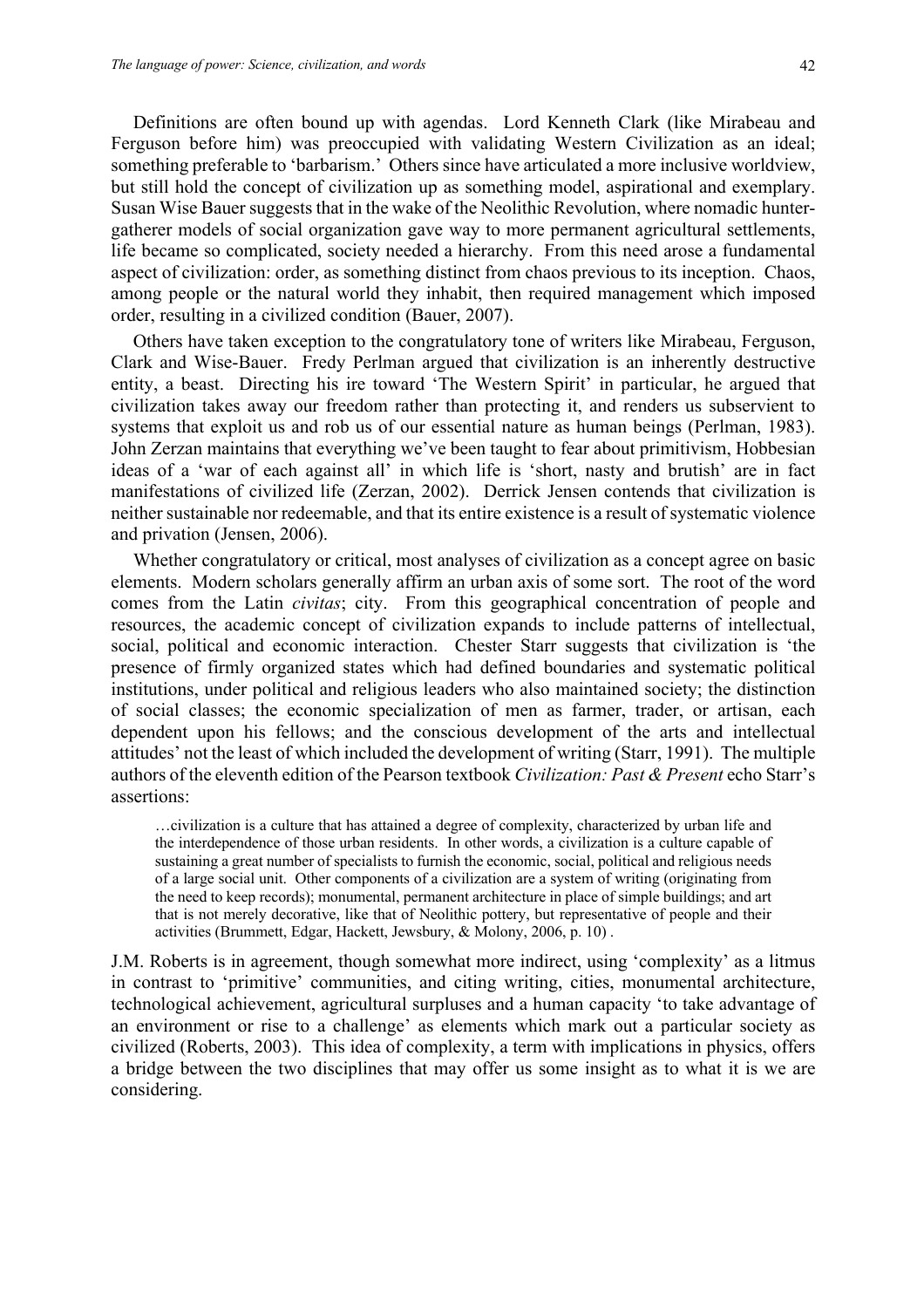Definitions are often bound up with agendas. Lord Kenneth Clark (like Mirabeau and Ferguson before him) was preoccupied with validating Western Civilization as an ideal; something preferable to 'barbarism.' Others since have articulated a more inclusive worldview, but still hold the concept of civilization up as something model, aspirational and exemplary. Susan Wise Bauer suggests that in the wake of the Neolithic Revolution, where nomadic huntergatherer models of social organization gave way to more permanent agricultural settlements, life became so complicated, society needed a hierarchy. From this need arose a fundamental aspect of civilization: order, as something distinct from chaos previous to its inception. Chaos, among people or the natural world they inhabit, then required management which imposed order, resulting in a civilized condition (Bauer, 2007).

Others have taken exception to the congratulatory tone of writers like Mirabeau, Ferguson, Clark and Wise-Bauer. Fredy Perlman argued that civilization is an inherently destructive entity, a beast. Directing his ire toward 'The Western Spirit' in particular, he argued that civilization takes away our freedom rather than protecting it, and renders us subservient to systems that exploit us and rob us of our essential nature as human beings (Perlman, 1983). John Zerzan maintains that everything we've been taught to fear about primitivism, Hobbesian ideas of a 'war of each against all' in which life is 'short, nasty and brutish' are in fact manifestations of civilized life (Zerzan, 2002). Derrick Jensen contends that civilization is neither sustainable nor redeemable, and that its entire existence is a result of systematic violence and privation (Jensen, 2006).

Whether congratulatory or critical, most analyses of civilization as a concept agree on basic elements. Modern scholars generally affirm an urban axis of some sort. The root of the word comes from the Latin *civitas*; city. From this geographical concentration of people and resources, the academic concept of civilization expands to include patterns of intellectual, social, political and economic interaction. Chester Starr suggests that civilization is 'the presence of firmly organized states which had defined boundaries and systematic political institutions, under political and religious leaders who also maintained society; the distinction of social classes; the economic specialization of men as farmer, trader, or artisan, each dependent upon his fellows; and the conscious development of the arts and intellectual attitudes' not the least of which included the development of writing (Starr, 1991). The multiple authors of the eleventh edition of the Pearson textbook *Civilization: Past & Present* echo Starr's assertions:

…civilization is a culture that has attained a degree of complexity, characterized by urban life and the interdependence of those urban residents. In other words, a civilization is a culture capable of sustaining a great number of specialists to furnish the economic, social, political and religious needs of a large social unit. Other components of a civilization are a system of writing (originating from the need to keep records); monumental, permanent architecture in place of simple buildings; and art that is not merely decorative, like that of Neolithic pottery, but representative of people and their activities (Brummett, Edgar, Hackett, Jewsbury, & Molony, 2006, p. 10) .

J.M. Roberts is in agreement, though somewhat more indirect, using 'complexity' as a litmus in contrast to 'primitive' communities, and citing writing, cities, monumental architecture, technological achievement, agricultural surpluses and a human capacity 'to take advantage of an environment or rise to a challenge' as elements which mark out a particular society as civilized (Roberts, 2003). This idea of complexity, a term with implications in physics, offers a bridge between the two disciplines that may offer us some insight as to what it is we are considering.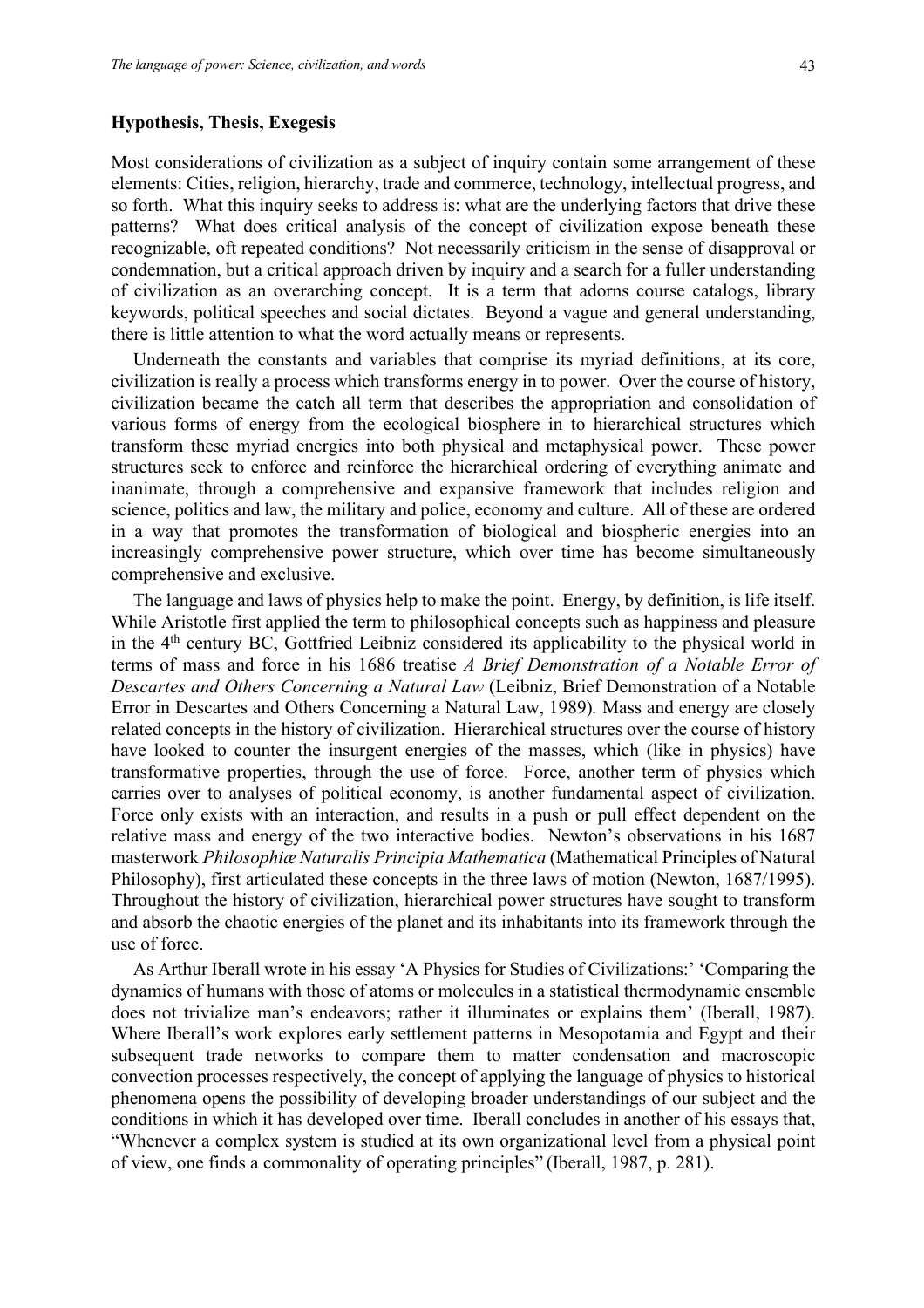#### **Hypothesis, Thesis, Exegesis**

Most considerations of civilization as a subject of inquiry contain some arrangement of these elements: Cities, religion, hierarchy, trade and commerce, technology, intellectual progress, and so forth. What this inquiry seeks to address is: what are the underlying factors that drive these patterns? What does critical analysis of the concept of civilization expose beneath these recognizable, oft repeated conditions? Not necessarily criticism in the sense of disapproval or condemnation, but a critical approach driven by inquiry and a search for a fuller understanding of civilization as an overarching concept. It is a term that adorns course catalogs, library keywords, political speeches and social dictates. Beyond a vague and general understanding, there is little attention to what the word actually means or represents.

Underneath the constants and variables that comprise its myriad definitions, at its core, civilization is really a process which transforms energy in to power. Over the course of history, civilization became the catch all term that describes the appropriation and consolidation of various forms of energy from the ecological biosphere in to hierarchical structures which transform these myriad energies into both physical and metaphysical power. These power structures seek to enforce and reinforce the hierarchical ordering of everything animate and inanimate, through a comprehensive and expansive framework that includes religion and science, politics and law, the military and police, economy and culture. All of these are ordered in a way that promotes the transformation of biological and biospheric energies into an increasingly comprehensive power structure, which over time has become simultaneously comprehensive and exclusive.

The language and laws of physics help to make the point. Energy, by definition, is life itself. While Aristotle first applied the term to philosophical concepts such as happiness and pleasure in the 4<sup>th</sup> century BC, Gottfried Leibniz considered its applicability to the physical world in terms of mass and force in his 1686 treatise *A Brief Demonstration of a Notable Error of Descartes and Others Concerning a Natural Law* (Leibniz, Brief Demonstration of a Notable Error in Descartes and Others Concerning a Natural Law, 1989)*.* Mass and energy are closely related concepts in the history of civilization. Hierarchical structures over the course of history have looked to counter the insurgent energies of the masses, which (like in physics) have transformative properties, through the use of force. Force, another term of physics which carries over to analyses of political economy, is another fundamental aspect of civilization. Force only exists with an interaction, and results in a push or pull effect dependent on the relative mass and energy of the two interactive bodies. Newton's observations in his 1687 masterwork *Philosophiæ Naturalis Principia Mathematica* (Mathematical Principles of Natural Philosophy), first articulated these concepts in the three laws of motion (Newton, 1687/1995). Throughout the history of civilization, hierarchical power structures have sought to transform and absorb the chaotic energies of the planet and its inhabitants into its framework through the use of force.

As Arthur Iberall wrote in his essay 'A Physics for Studies of Civilizations:' 'Comparing the dynamics of humans with those of atoms or molecules in a statistical thermodynamic ensemble does not trivialize man's endeavors; rather it illuminates or explains them' (Iberall, 1987). Where Iberall's work explores early settlement patterns in Mesopotamia and Egypt and their subsequent trade networks to compare them to matter condensation and macroscopic convection processes respectively, the concept of applying the language of physics to historical phenomena opens the possibility of developing broader understandings of our subject and the conditions in which it has developed over time. Iberall concludes in another of his essays that, "Whenever a complex system is studied at its own organizational level from a physical point of view, one finds a commonality of operating principles" (Iberall, 1987, p. 281).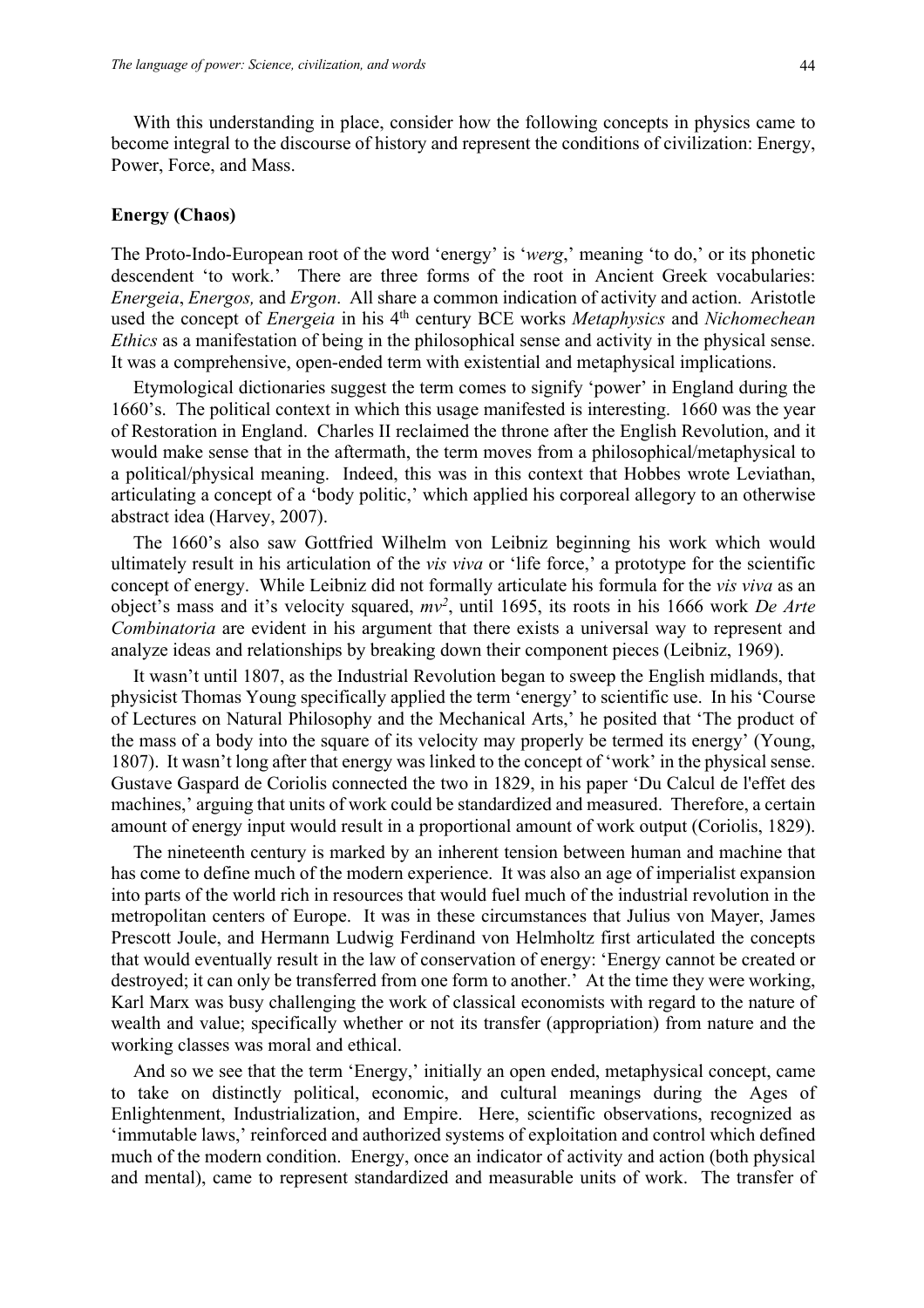With this understanding in place, consider how the following concepts in physics came to become integral to the discourse of history and represent the conditions of civilization: Energy, Power, Force, and Mass.

## **Energy (Chaos)**

The Proto-Indo-European root of the word 'energy' is '*werg*,' meaning 'to do,' or its phonetic descendent 'to work.' There are three forms of the root in Ancient Greek vocabularies: *Energeia*, *Energos,* and *Ergon*. All share a common indication of activity and action. Aristotle used the concept of *Energeia* in his 4th century BCE works *Metaphysics* and *Nichomechean Ethics* as a manifestation of being in the philosophical sense and activity in the physical sense. It was a comprehensive, open-ended term with existential and metaphysical implications.

Etymological dictionaries suggest the term comes to signify 'power' in England during the 1660's. The political context in which this usage manifested is interesting. 1660 was the year of Restoration in England. Charles II reclaimed the throne after the English Revolution, and it would make sense that in the aftermath, the term moves from a philosophical/metaphysical to a political/physical meaning. Indeed, this was in this context that Hobbes wrote Leviathan, articulating a concept of a 'body politic,' which applied his corporeal allegory to an otherwise abstract idea (Harvey, 2007).

The 1660's also saw Gottfried Wilhelm von Leibniz beginning his work which would ultimately result in his articulation of the *vis viva* or 'life force,' a prototype for the scientific concept of energy. While Leibniz did not formally articulate his formula for the *vis viva* as an object's mass and it's velocity squared, *mv2* , until 1695, its roots in his 1666 work *De Arte Combinatoria* are evident in his argument that there exists a universal way to represent and analyze ideas and relationships by breaking down their component pieces (Leibniz, 1969).

It wasn't until 1807, as the Industrial Revolution began to sweep the English midlands, that physicist Thomas Young specifically applied the term 'energy' to scientific use. In his 'Course of Lectures on Natural Philosophy and the Mechanical Arts,' he posited that 'The product of the mass of a body into the square of its velocity may properly be termed its energy' (Young, 1807). It wasn't long after that energy was linked to the concept of 'work' in the physical sense. Gustave Gaspard de Coriolis connected the two in 1829, in his paper 'Du Calcul de l'effet des machines,' arguing that units of work could be standardized and measured. Therefore, a certain amount of energy input would result in a proportional amount of work output (Coriolis, 1829).

The nineteenth century is marked by an inherent tension between human and machine that has come to define much of the modern experience. It was also an age of imperialist expansion into parts of the world rich in resources that would fuel much of the industrial revolution in the metropolitan centers of Europe. It was in these circumstances that Julius von Mayer, James Prescott Joule, and Hermann Ludwig Ferdinand von Helmholtz first articulated the concepts that would eventually result in the law of conservation of energy: 'Energy cannot be created or destroyed; it can only be transferred from one form to another.' At the time they were working, Karl Marx was busy challenging the work of classical economists with regard to the nature of wealth and value; specifically whether or not its transfer (appropriation) from nature and the working classes was moral and ethical.

And so we see that the term 'Energy,' initially an open ended, metaphysical concept, came to take on distinctly political, economic, and cultural meanings during the Ages of Enlightenment, Industrialization, and Empire. Here, scientific observations, recognized as 'immutable laws,' reinforced and authorized systems of exploitation and control which defined much of the modern condition. Energy, once an indicator of activity and action (both physical and mental), came to represent standardized and measurable units of work. The transfer of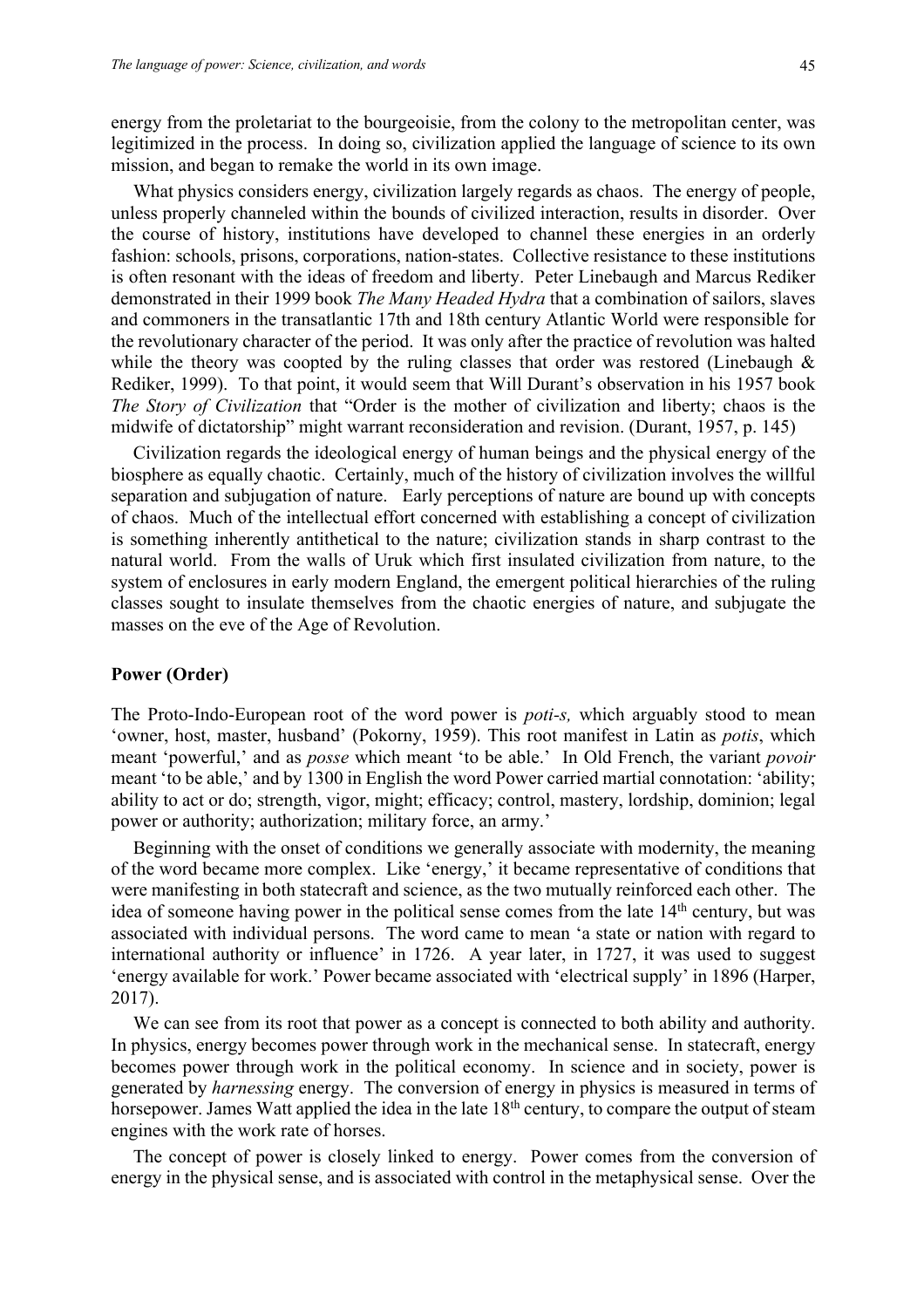energy from the proletariat to the bourgeoisie, from the colony to the metropolitan center, was legitimized in the process. In doing so, civilization applied the language of science to its own mission, and began to remake the world in its own image.

What physics considers energy, civilization largely regards as chaos. The energy of people, unless properly channeled within the bounds of civilized interaction, results in disorder. Over the course of history, institutions have developed to channel these energies in an orderly fashion: schools, prisons, corporations, nation-states. Collective resistance to these institutions is often resonant with the ideas of freedom and liberty. Peter Linebaugh and Marcus Rediker demonstrated in their 1999 book *The Many Headed Hydra* that a combination of sailors, slaves and commoners in the transatlantic 17th and 18th century Atlantic World were responsible for the revolutionary character of the period. It was only after the practice of revolution was halted while the theory was coopted by the ruling classes that order was restored (Linebaugh  $\&$ Rediker, 1999). To that point, it would seem that Will Durant's observation in his 1957 book *The Story of Civilization* that "Order is the mother of civilization and liberty; chaos is the midwife of dictatorship" might warrant reconsideration and revision. (Durant, 1957, p. 145)

Civilization regards the ideological energy of human beings and the physical energy of the biosphere as equally chaotic. Certainly, much of the history of civilization involves the willful separation and subjugation of nature. Early perceptions of nature are bound up with concepts of chaos. Much of the intellectual effort concerned with establishing a concept of civilization is something inherently antithetical to the nature; civilization stands in sharp contrast to the natural world. From the walls of Uruk which first insulated civilization from nature, to the system of enclosures in early modern England, the emergent political hierarchies of the ruling classes sought to insulate themselves from the chaotic energies of nature, and subjugate the masses on the eve of the Age of Revolution.

#### **Power (Order)**

The Proto-Indo-European root of the word power is *poti-s,* which arguably stood to mean 'owner, host, master, husband' (Pokorny, 1959). This root manifest in Latin as *potis*, which meant 'powerful,' and as *posse* which meant 'to be able.' In Old French, the variant *povoir* meant 'to be able,' and by 1300 in English the word Power carried martial connotation: 'ability; ability to act or do; strength, vigor, might; efficacy; control, mastery, lordship, dominion; legal power or authority; authorization; military force, an army.'

Beginning with the onset of conditions we generally associate with modernity, the meaning of the word became more complex. Like 'energy,' it became representative of conditions that were manifesting in both statecraft and science, as the two mutually reinforced each other. The idea of someone having power in the political sense comes from the late  $14<sup>th</sup>$  century, but was associated with individual persons. The word came to mean 'a state or nation with regard to international authority or influence' in 1726. A year later, in 1727, it was used to suggest 'energy available for work.' Power became associated with 'electrical supply' in 1896 (Harper, 2017).

We can see from its root that power as a concept is connected to both ability and authority. In physics, energy becomes power through work in the mechanical sense. In statecraft, energy becomes power through work in the political economy. In science and in society, power is generated by *harnessing* energy. The conversion of energy in physics is measured in terms of horsepower. James Watt applied the idea in the late  $18<sup>th</sup>$  century, to compare the output of steam engines with the work rate of horses.

The concept of power is closely linked to energy. Power comes from the conversion of energy in the physical sense, and is associated with control in the metaphysical sense. Over the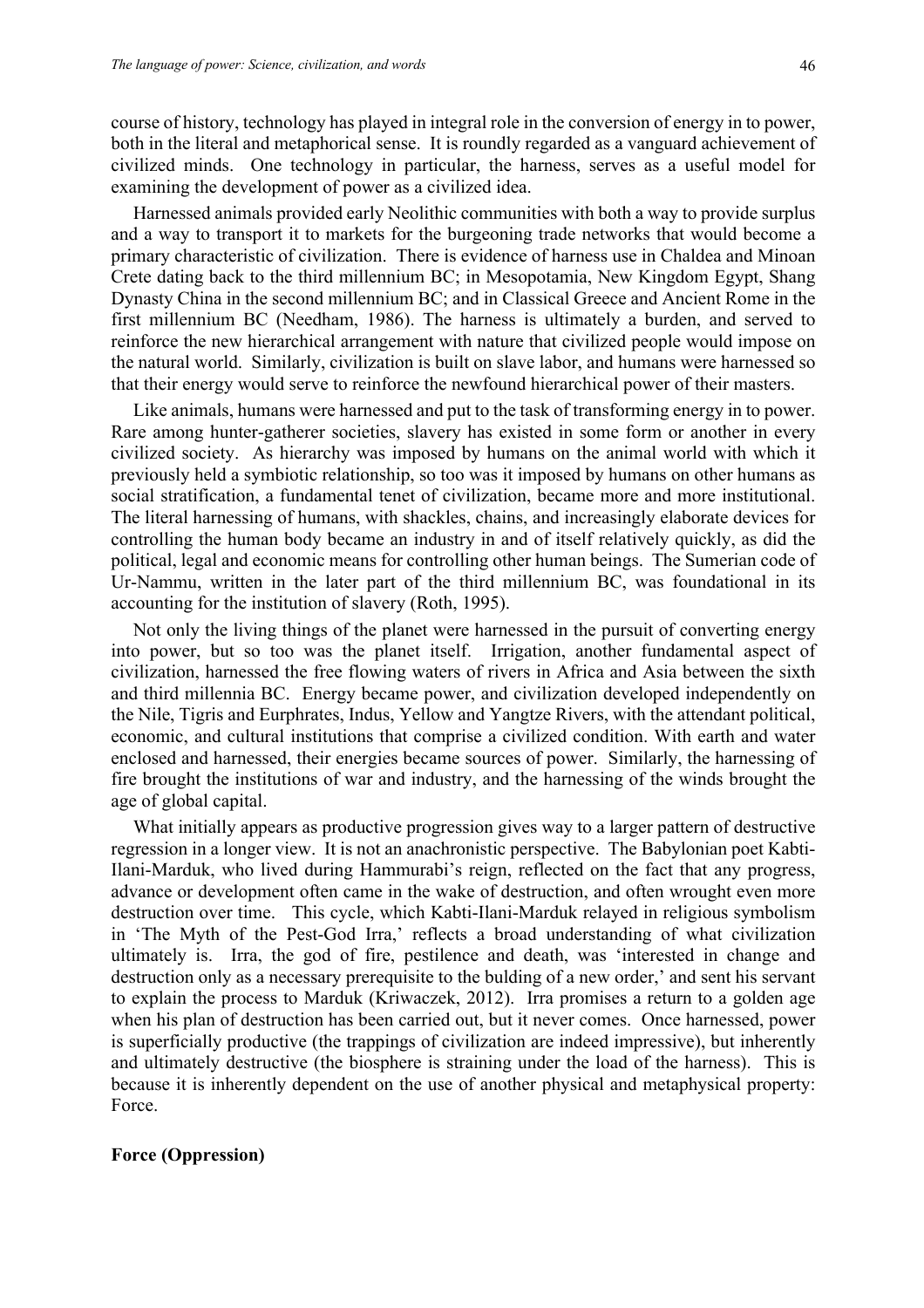course of history, technology has played in integral role in the conversion of energy in to power, both in the literal and metaphorical sense. It is roundly regarded as a vanguard achievement of civilized minds. One technology in particular, the harness, serves as a useful model for examining the development of power as a civilized idea.

Harnessed animals provided early Neolithic communities with both a way to provide surplus and a way to transport it to markets for the burgeoning trade networks that would become a primary characteristic of civilization. There is evidence of harness use in Chaldea and Minoan Crete dating back to the third millennium BC; in Mesopotamia, New Kingdom Egypt, Shang Dynasty China in the second millennium BC; and in Classical Greece and Ancient Rome in the first millennium BC (Needham, 1986). The harness is ultimately a burden, and served to reinforce the new hierarchical arrangement with nature that civilized people would impose on the natural world. Similarly, civilization is built on slave labor, and humans were harnessed so that their energy would serve to reinforce the newfound hierarchical power of their masters.

Like animals, humans were harnessed and put to the task of transforming energy in to power. Rare among hunter-gatherer societies, slavery has existed in some form or another in every civilized society. As hierarchy was imposed by humans on the animal world with which it previously held a symbiotic relationship, so too was it imposed by humans on other humans as social stratification, a fundamental tenet of civilization, became more and more institutional. The literal harnessing of humans, with shackles, chains, and increasingly elaborate devices for controlling the human body became an industry in and of itself relatively quickly, as did the political, legal and economic means for controlling other human beings. The Sumerian code of Ur-Nammu, written in the later part of the third millennium BC, was foundational in its accounting for the institution of slavery (Roth, 1995).

Not only the living things of the planet were harnessed in the pursuit of converting energy into power, but so too was the planet itself. Irrigation, another fundamental aspect of civilization, harnessed the free flowing waters of rivers in Africa and Asia between the sixth and third millennia BC. Energy became power, and civilization developed independently on the Nile, Tigris and Eurphrates, Indus, Yellow and Yangtze Rivers, with the attendant political, economic, and cultural institutions that comprise a civilized condition. With earth and water enclosed and harnessed, their energies became sources of power. Similarly, the harnessing of fire brought the institutions of war and industry, and the harnessing of the winds brought the age of global capital.

What initially appears as productive progression gives way to a larger pattern of destructive regression in a longer view. It is not an anachronistic perspective. The Babylonian poet Kabti-Ilani-Marduk, who lived during Hammurabi's reign, reflected on the fact that any progress, advance or development often came in the wake of destruction, and often wrought even more destruction over time. This cycle, which Kabti-Ilani-Marduk relayed in religious symbolism in 'The Myth of the Pest-God Irra,' reflects a broad understanding of what civilization ultimately is. Irra, the god of fire, pestilence and death, was 'interested in change and destruction only as a necessary prerequisite to the bulding of a new order,' and sent his servant to explain the process to Marduk (Kriwaczek, 2012). Irra promises a return to a golden age when his plan of destruction has been carried out, but it never comes. Once harnessed, power is superficially productive (the trappings of civilization are indeed impressive), but inherently and ultimately destructive (the biosphere is straining under the load of the harness). This is because it is inherently dependent on the use of another physical and metaphysical property: Force.

### **Force (Oppression)**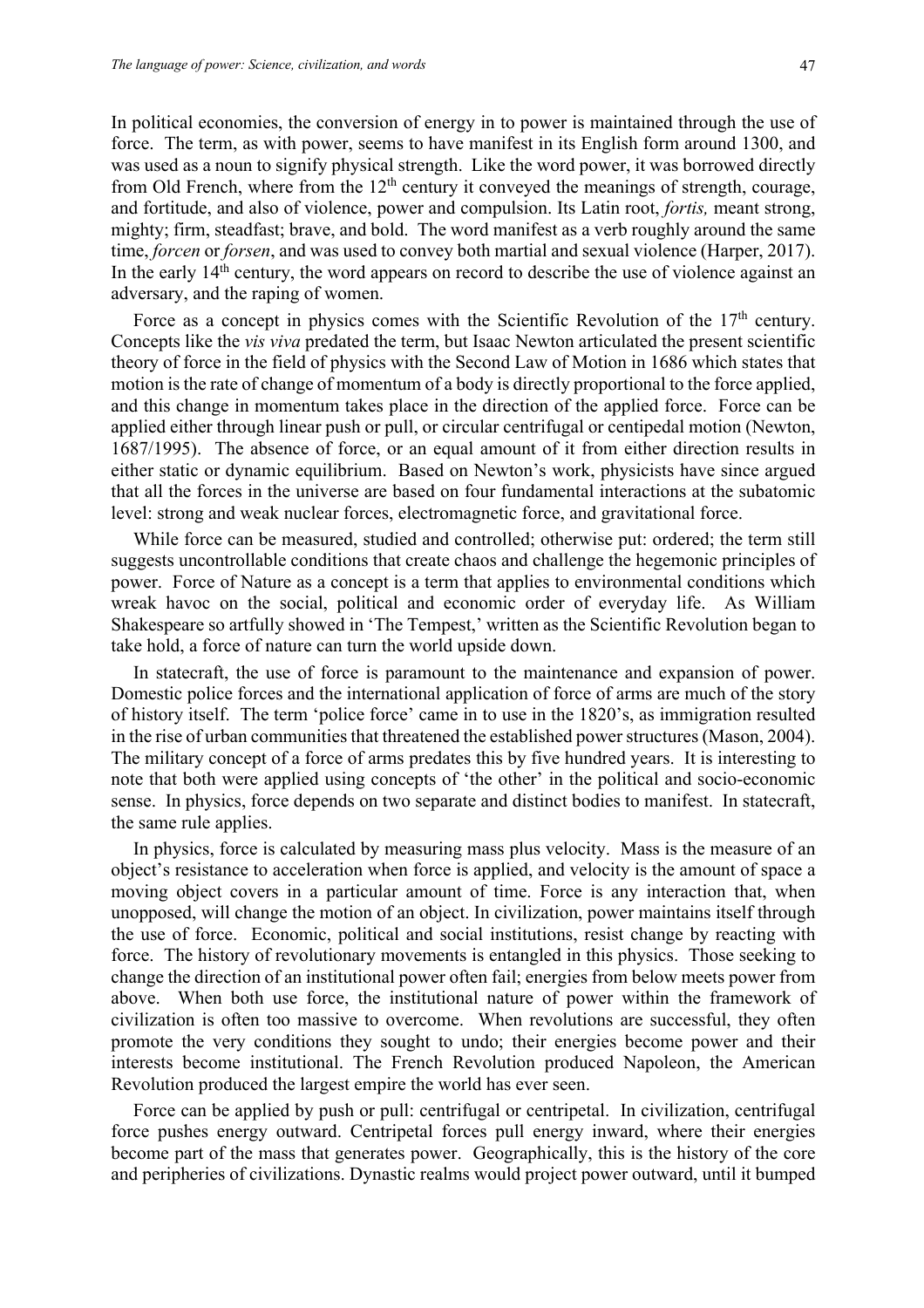In political economies, the conversion of energy in to power is maintained through the use of force. The term, as with power, seems to have manifest in its English form around 1300, and was used as a noun to signify physical strength. Like the word power, it was borrowed directly from Old French, where from the  $12<sup>th</sup>$  century it conveyed the meanings of strength, courage, and fortitude, and also of violence, power and compulsion. Its Latin root, *fortis,* meant strong, mighty; firm, steadfast; brave, and bold. The word manifest as a verb roughly around the same time, *forcen* or *forsen*, and was used to convey both martial and sexual violence (Harper, 2017). In the early 14<sup>th</sup> century, the word appears on record to describe the use of violence against an adversary, and the raping of women.

Force as a concept in physics comes with the Scientific Revolution of the  $17<sup>th</sup>$  century. Concepts like the *vis viva* predated the term, but Isaac Newton articulated the present scientific theory of force in the field of physics with the Second Law of Motion in 1686 which states that motion is the rate of change of momentum of a body is directly proportional to the force applied, and this change in momentum takes place in the direction of the applied force. Force can be applied either through linear push or pull, or circular centrifugal or centipedal motion (Newton, 1687/1995). The absence of force, or an equal amount of it from either direction results in either static or dynamic equilibrium. Based on Newton's work, physicists have since argued that all the forces in the universe are based on four fundamental interactions at the subatomic level: strong and weak nuclear forces, electromagnetic force, and gravitational force.

While force can be measured, studied and controlled; otherwise put: ordered; the term still suggests uncontrollable conditions that create chaos and challenge the hegemonic principles of power. Force of Nature as a concept is a term that applies to environmental conditions which wreak havoc on the social, political and economic order of everyday life. As William Shakespeare so artfully showed in 'The Tempest,' written as the Scientific Revolution began to take hold, a force of nature can turn the world upside down.

In statecraft, the use of force is paramount to the maintenance and expansion of power. Domestic police forces and the international application of force of arms are much of the story of history itself. The term 'police force' came in to use in the 1820's, as immigration resulted in the rise of urban communities that threatened the established power structures(Mason, 2004). The military concept of a force of arms predates this by five hundred years. It is interesting to note that both were applied using concepts of 'the other' in the political and socio-economic sense. In physics, force depends on two separate and distinct bodies to manifest. In statecraft, the same rule applies.

In physics, force is calculated by measuring mass plus velocity. Mass is the measure of an object's resistance to acceleration when force is applied, and velocity is the amount of space a moving object covers in a particular amount of time. Force is any interaction that, when unopposed, will change the motion of an object. In civilization, power maintains itself through the use of force. Economic, political and social institutions, resist change by reacting with force. The history of revolutionary movements is entangled in this physics. Those seeking to change the direction of an institutional power often fail; energies from below meets power from above. When both use force, the institutional nature of power within the framework of civilization is often too massive to overcome. When revolutions are successful, they often promote the very conditions they sought to undo; their energies become power and their interests become institutional. The French Revolution produced Napoleon, the American Revolution produced the largest empire the world has ever seen.

Force can be applied by push or pull: centrifugal or centripetal. In civilization, centrifugal force pushes energy outward. Centripetal forces pull energy inward, where their energies become part of the mass that generates power. Geographically, this is the history of the core and peripheries of civilizations. Dynastic realms would project power outward, until it bumped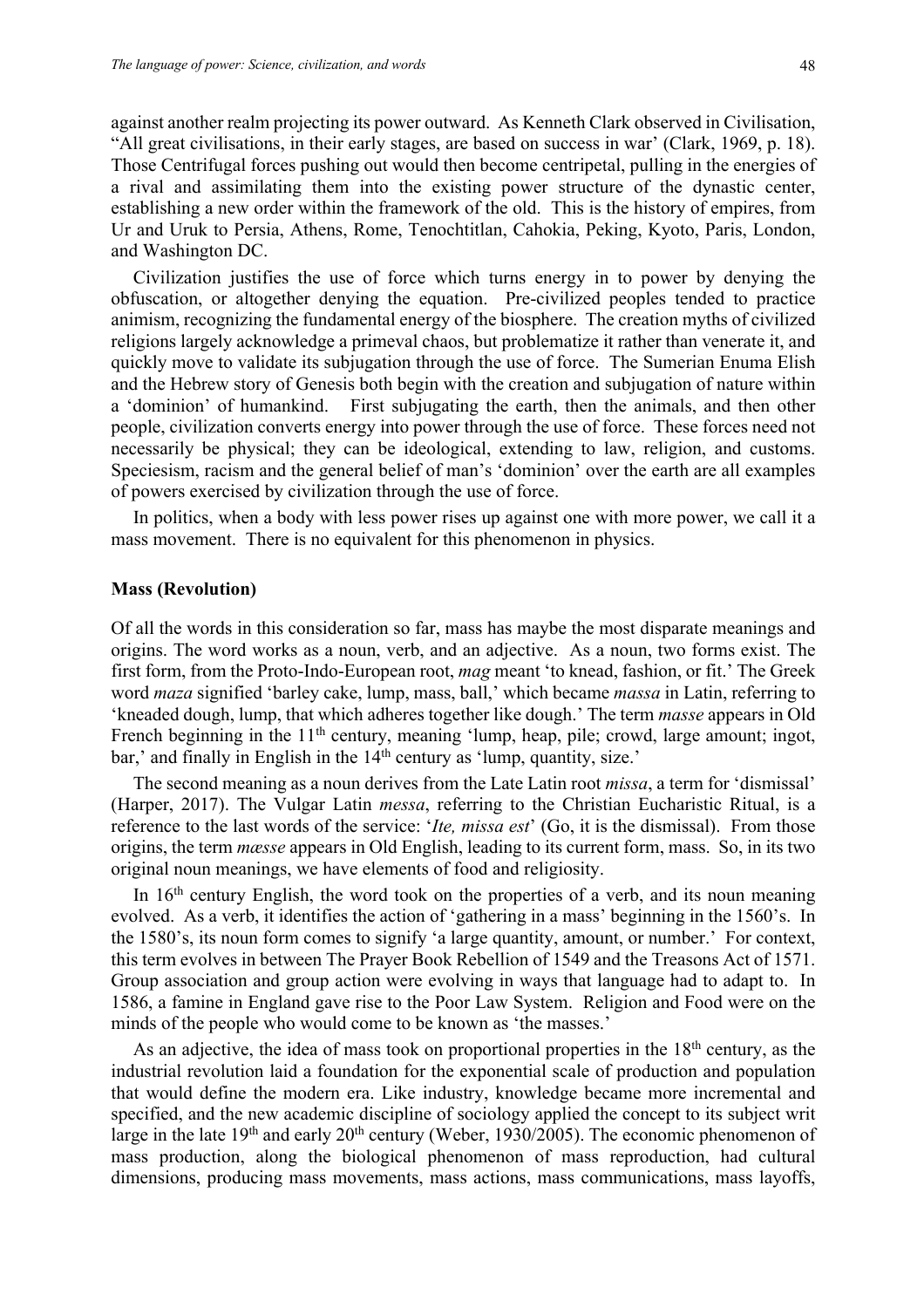against another realm projecting its power outward. As Kenneth Clark observed in Civilisation, "All great civilisations, in their early stages, are based on success in war' (Clark, 1969, p. 18). Those Centrifugal forces pushing out would then become centripetal, pulling in the energies of a rival and assimilating them into the existing power structure of the dynastic center, establishing a new order within the framework of the old. This is the history of empires, from Ur and Uruk to Persia, Athens, Rome, Tenochtitlan, Cahokia, Peking, Kyoto, Paris, London, and Washington DC.

Civilization justifies the use of force which turns energy in to power by denying the obfuscation, or altogether denying the equation. Pre-civilized peoples tended to practice animism, recognizing the fundamental energy of the biosphere. The creation myths of civilized religions largely acknowledge a primeval chaos, but problematize it rather than venerate it, and quickly move to validate its subjugation through the use of force. The Sumerian Enuma Elish and the Hebrew story of Genesis both begin with the creation and subjugation of nature within a 'dominion' of humankind. First subjugating the earth, then the animals, and then other people, civilization converts energy into power through the use of force. These forces need not necessarily be physical; they can be ideological, extending to law, religion, and customs. Speciesism, racism and the general belief of man's 'dominion' over the earth are all examples of powers exercised by civilization through the use of force.

In politics, when a body with less power rises up against one with more power, we call it a mass movement. There is no equivalent for this phenomenon in physics.

#### **Mass (Revolution)**

Of all the words in this consideration so far, mass has maybe the most disparate meanings and origins. The word works as a noun, verb, and an adjective. As a noun, two forms exist. The first form, from the Proto-Indo-European root, *mag* meant 'to knead, fashion, or fit.' The Greek word *maza* signified 'barley cake, lump, mass, ball,' which became *massa* in Latin, referring to 'kneaded dough, lump, that which adheres together like dough.' The term *masse* appears in Old French beginning in the 11<sup>th</sup> century, meaning 'lump, heap, pile; crowd, large amount; ingot, bar,' and finally in English in the 14<sup>th</sup> century as 'lump, quantity, size.'

The second meaning as a noun derives from the Late Latin root *missa*, a term for 'dismissal' (Harper, 2017). The Vulgar Latin *messa*, referring to the Christian Eucharistic Ritual, is a reference to the last words of the service: '*Ite, missa est*' (Go, it is the dismissal). From those origins, the term *mæsse* appears in Old English, leading to its current form, mass. So, in its two original noun meanings, we have elements of food and religiosity.

In  $16<sup>th</sup>$  century English, the word took on the properties of a verb, and its noun meaning evolved. As a verb, it identifies the action of 'gathering in a mass' beginning in the 1560's. In the 1580's, its noun form comes to signify 'a large quantity, amount, or number.' For context, this term evolves in between The Prayer Book Rebellion of 1549 and the Treasons Act of 1571. Group association and group action were evolving in ways that language had to adapt to. In 1586, a famine in England gave rise to the Poor Law System. Religion and Food were on the minds of the people who would come to be known as 'the masses.'

As an adjective, the idea of mass took on proportional properties in the  $18<sup>th</sup>$  century, as the industrial revolution laid a foundation for the exponential scale of production and population that would define the modern era. Like industry, knowledge became more incremental and specified, and the new academic discipline of sociology applied the concept to its subject writ large in the late  $19<sup>th</sup>$  and early  $20<sup>th</sup>$  century (Weber, 1930/2005). The economic phenomenon of mass production, along the biological phenomenon of mass reproduction, had cultural dimensions, producing mass movements, mass actions, mass communications, mass layoffs,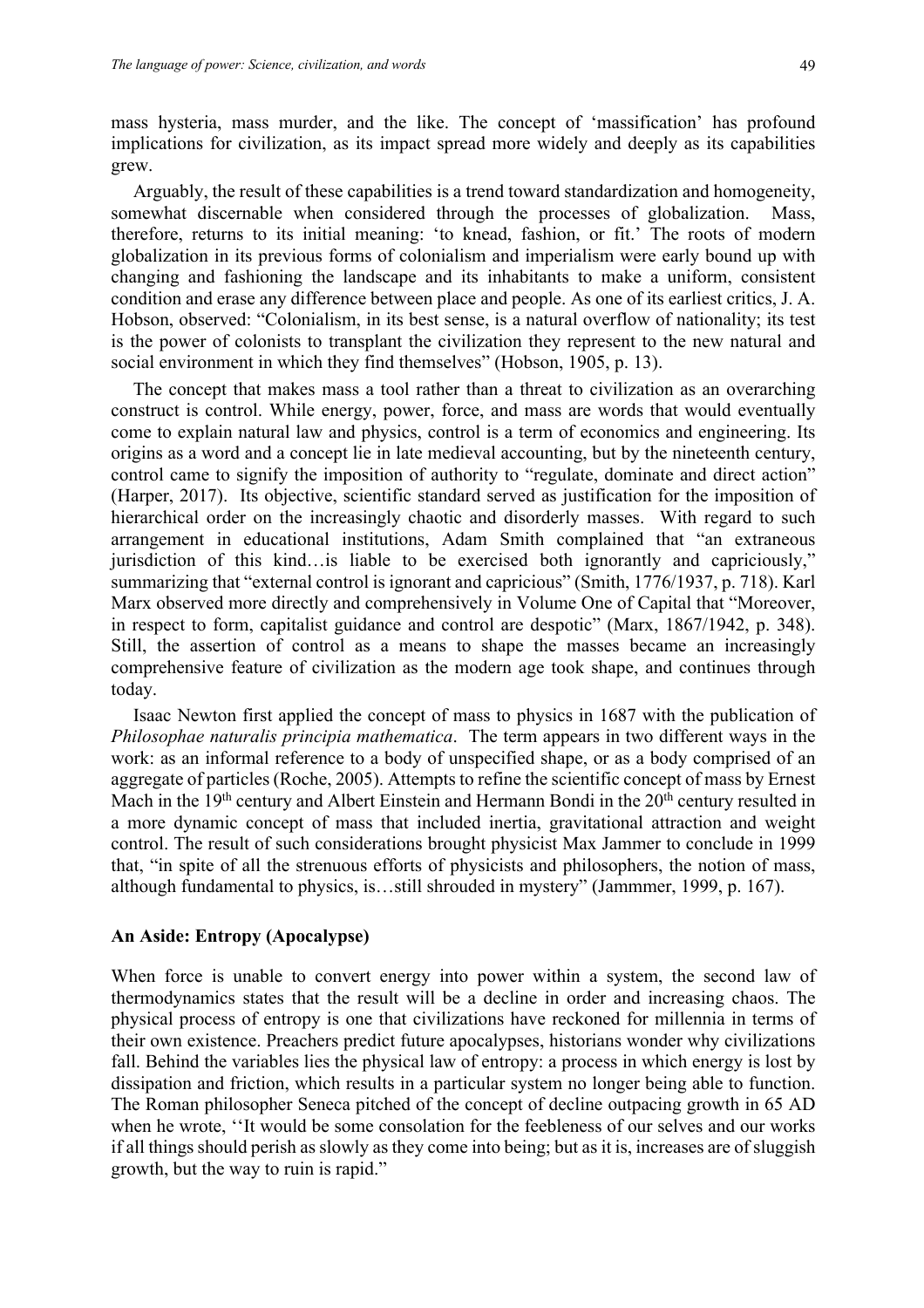mass hysteria, mass murder, and the like. The concept of 'massification' has profound implications for civilization, as its impact spread more widely and deeply as its capabilities grew.

Arguably, the result of these capabilities is a trend toward standardization and homogeneity, somewhat discernable when considered through the processes of globalization. Mass, therefore, returns to its initial meaning: 'to knead, fashion, or fit.' The roots of modern globalization in its previous forms of colonialism and imperialism were early bound up with changing and fashioning the landscape and its inhabitants to make a uniform, consistent condition and erase any difference between place and people. As one of its earliest critics, J. A. Hobson, observed: "Colonialism, in its best sense, is a natural overflow of nationality; its test is the power of colonists to transplant the civilization they represent to the new natural and social environment in which they find themselves" (Hobson, 1905, p. 13).

The concept that makes mass a tool rather than a threat to civilization as an overarching construct is control. While energy, power, force, and mass are words that would eventually come to explain natural law and physics, control is a term of economics and engineering. Its origins as a word and a concept lie in late medieval accounting, but by the nineteenth century, control came to signify the imposition of authority to "regulate, dominate and direct action" (Harper, 2017). Its objective, scientific standard served as justification for the imposition of hierarchical order on the increasingly chaotic and disorderly masses. With regard to such arrangement in educational institutions, Adam Smith complained that "an extraneous jurisdiction of this kind…is liable to be exercised both ignorantly and capriciously," summarizing that "external control is ignorant and capricious" (Smith, 1776/1937, p. 718). Karl Marx observed more directly and comprehensively in Volume One of Capital that "Moreover, in respect to form, capitalist guidance and control are despotic" (Marx, 1867/1942, p. 348). Still, the assertion of control as a means to shape the masses became an increasingly comprehensive feature of civilization as the modern age took shape, and continues through today.

Isaac Newton first applied the concept of mass to physics in 1687 with the publication of *Philosophae naturalis principia mathematica*. The term appears in two different ways in the work: as an informal reference to a body of unspecified shape, or as a body comprised of an aggregate of particles (Roche, 2005). Attempts to refine the scientific concept of mass by Ernest Mach in the 19<sup>th</sup> century and Albert Einstein and Hermann Bondi in the 20<sup>th</sup> century resulted in a more dynamic concept of mass that included inertia, gravitational attraction and weight control. The result of such considerations brought physicist Max Jammer to conclude in 1999 that, "in spite of all the strenuous efforts of physicists and philosophers, the notion of mass, although fundamental to physics, is…still shrouded in mystery" (Jammmer, 1999, p. 167).

## **An Aside: Entropy (Apocalypse)**

When force is unable to convert energy into power within a system, the second law of thermodynamics states that the result will be a decline in order and increasing chaos. The physical process of entropy is one that civilizations have reckoned for millennia in terms of their own existence. Preachers predict future apocalypses, historians wonder why civilizations fall. Behind the variables lies the physical law of entropy: a process in which energy is lost by dissipation and friction, which results in a particular system no longer being able to function. The Roman philosopher Seneca pitched of the concept of decline outpacing growth in 65 AD when he wrote, ''It would be some consolation for the feebleness of our selves and our works if all things should perish as slowly as they come into being; but as it is, increases are of sluggish growth, but the way to ruin is rapid."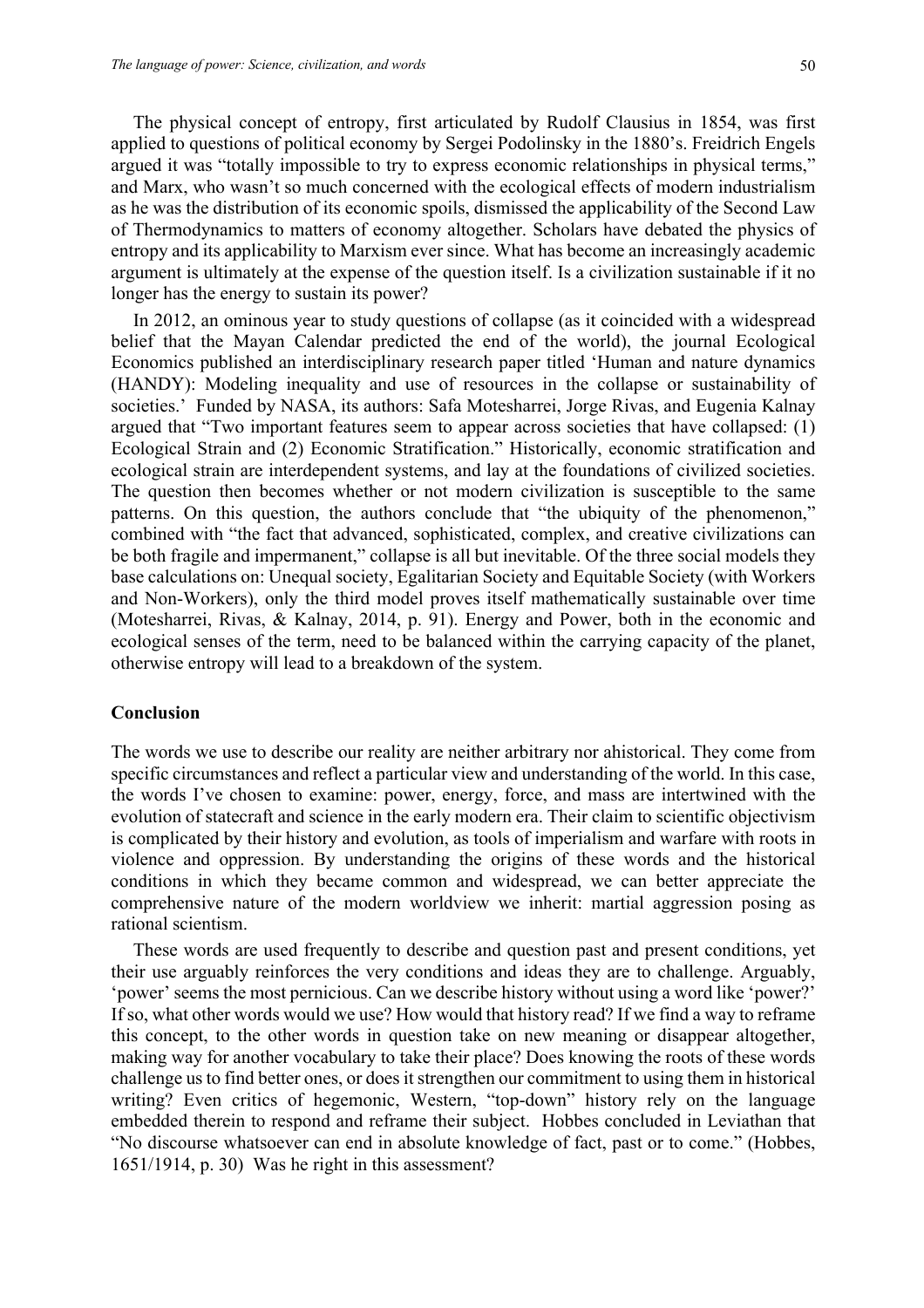The physical concept of entropy, first articulated by Rudolf Clausius in 1854, was first applied to questions of political economy by Sergei Podolinsky in the 1880's. Freidrich Engels argued it was "totally impossible to try to express economic relationships in physical terms," and Marx, who wasn't so much concerned with the ecological effects of modern industrialism as he was the distribution of its economic spoils, dismissed the applicability of the Second Law of Thermodynamics to matters of economy altogether. Scholars have debated the physics of entropy and its applicability to Marxism ever since. What has become an increasingly academic argument is ultimately at the expense of the question itself. Is a civilization sustainable if it no longer has the energy to sustain its power?

In 2012, an ominous year to study questions of collapse (as it coincided with a widespread belief that the Mayan Calendar predicted the end of the world), the journal Ecological Economics published an interdisciplinary research paper titled 'Human and nature dynamics (HANDY): Modeling inequality and use of resources in the collapse or sustainability of societies.' Funded by NASA, its authors: Safa Motesharrei, Jorge Rivas, and Eugenia Kalnay argued that "Two important features seem to appear across societies that have collapsed: (1) Ecological Strain and (2) Economic Stratification." Historically, economic stratification and ecological strain are interdependent systems, and lay at the foundations of civilized societies. The question then becomes whether or not modern civilization is susceptible to the same patterns. On this question, the authors conclude that "the ubiquity of the phenomenon," combined with "the fact that advanced, sophisticated, complex, and creative civilizations can be both fragile and impermanent," collapse is all but inevitable. Of the three social models they base calculations on: Unequal society, Egalitarian Society and Equitable Society (with Workers and Non-Workers), only the third model proves itself mathematically sustainable over time (Motesharrei, Rivas, & Kalnay, 2014, p. 91). Energy and Power, both in the economic and ecological senses of the term, need to be balanced within the carrying capacity of the planet, otherwise entropy will lead to a breakdown of the system.

## **Conclusion**

The words we use to describe our reality are neither arbitrary nor ahistorical. They come from specific circumstances and reflect a particular view and understanding of the world. In this case, the words I've chosen to examine: power, energy, force, and mass are intertwined with the evolution of statecraft and science in the early modern era. Their claim to scientific objectivism is complicated by their history and evolution, as tools of imperialism and warfare with roots in violence and oppression. By understanding the origins of these words and the historical conditions in which they became common and widespread, we can better appreciate the comprehensive nature of the modern worldview we inherit: martial aggression posing as rational scientism.

These words are used frequently to describe and question past and present conditions, yet their use arguably reinforces the very conditions and ideas they are to challenge. Arguably, 'power' seems the most pernicious. Can we describe history without using a word like 'power?' If so, what other words would we use? How would that history read? If we find a way to reframe this concept, to the other words in question take on new meaning or disappear altogether, making way for another vocabulary to take their place? Does knowing the roots of these words challenge us to find better ones, or does it strengthen our commitment to using them in historical writing? Even critics of hegemonic, Western, "top-down" history rely on the language embedded therein to respond and reframe their subject. Hobbes concluded in Leviathan that "No discourse whatsoever can end in absolute knowledge of fact, past or to come." (Hobbes, 1651/1914, p. 30) Was he right in this assessment?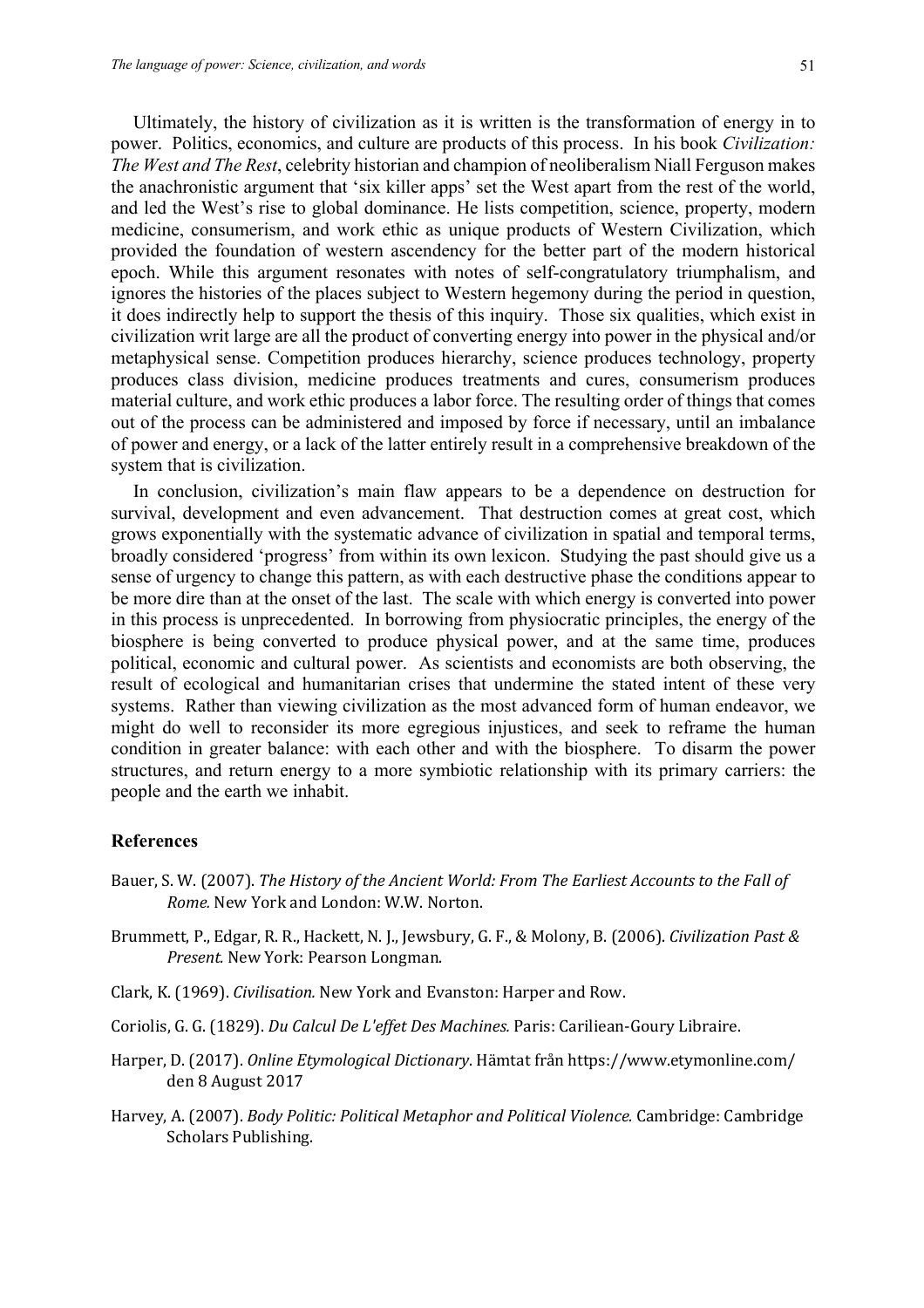Ultimately, the history of civilization as it is written is the transformation of energy in to power. Politics, economics, and culture are products of this process. In his book *Civilization: The West and The Rest*, celebrity historian and champion of neoliberalism Niall Ferguson makes the anachronistic argument that 'six killer apps' set the West apart from the rest of the world, and led the West's rise to global dominance. He lists competition, science, property, modern medicine, consumerism, and work ethic as unique products of Western Civilization, which provided the foundation of western ascendency for the better part of the modern historical epoch. While this argument resonates with notes of self-congratulatory triumphalism, and ignores the histories of the places subject to Western hegemony during the period in question, it does indirectly help to support the thesis of this inquiry. Those six qualities, which exist in civilization writ large are all the product of converting energy into power in the physical and/or metaphysical sense. Competition produces hierarchy, science produces technology, property produces class division, medicine produces treatments and cures, consumerism produces material culture, and work ethic produces a labor force. The resulting order of things that comes out of the process can be administered and imposed by force if necessary, until an imbalance of power and energy, or a lack of the latter entirely result in a comprehensive breakdown of the system that is civilization.

In conclusion, civilization's main flaw appears to be a dependence on destruction for survival, development and even advancement. That destruction comes at great cost, which grows exponentially with the systematic advance of civilization in spatial and temporal terms, broadly considered 'progress' from within its own lexicon. Studying the past should give us a sense of urgency to change this pattern, as with each destructive phase the conditions appear to be more dire than at the onset of the last. The scale with which energy is converted into power in this process is unprecedented. In borrowing from physiocratic principles, the energy of the biosphere is being converted to produce physical power, and at the same time, produces political, economic and cultural power. As scientists and economists are both observing, the result of ecological and humanitarian crises that undermine the stated intent of these very systems. Rather than viewing civilization as the most advanced form of human endeavor, we might do well to reconsider its more egregious injustices, and seek to reframe the human condition in greater balance: with each other and with the biosphere. To disarm the power structures, and return energy to a more symbiotic relationship with its primary carriers: the people and the earth we inhabit.

## **References**

- Bauer, S. W. (2007). *The History of the Ancient World: From The Earliest Accounts to the Fall of Rome.* New York and London: W.W. Norton.
- Brummett, P., Edgar, R. R., Hackett, N. J., Jewsbury, G. F., & Molony, B. (2006). *Civilization Past & Present.* New York: Pearson Longman.
- Clark, K. (1969). *Civilisation*. New York and Evanston: Harper and Row.
- Coriolis, G. G. (1829). *Du Calcul De L'effet Des Machines*. Paris: Cariliean-Goury Libraire.
- Harper, D. (2017). *Online Etymological Dictionary*. Hämtat från https://www.etymonline.com/ den 8 August 2017
- Harvey, A. (2007). *Body Politic: Political Metaphor and Political Violence.* Cambridge: Cambridge Scholars Publishing.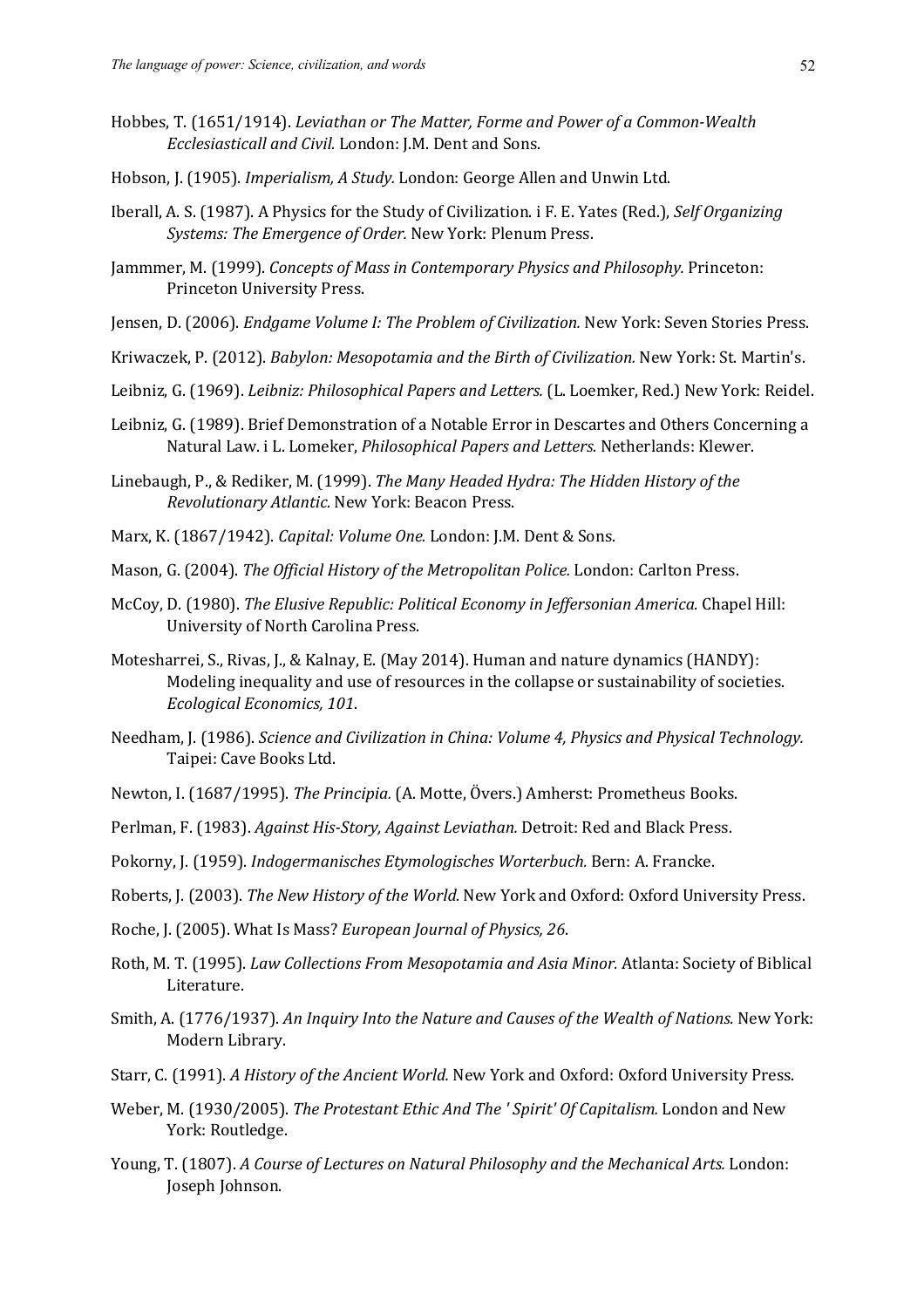- Hobbes, T. (1651/1914). *Leviathan or The Matter, Forme and Power of a Common-Wealth Ecclesiasticall and Civil.* London: J.M. Dent and Sons.
- Hobson, J. (1905). *Imperialism, A Study.* London: George Allen and Unwin Ltd.
- Iberall, A. S. (1987). A Physics for the Study of Civilization. i F. E. Yates (Red.), *Self Organizing* Systems: The Emergence of Order. New York: Plenum Press.
- Jammmer, M. (1999). *Concepts of Mass in Contemporary Physics and Philosophy.* Princeton: Princeton University Press.
- Jensen, D. (2006). *Endgame Volume I: The Problem of Civilization*. New York: Seven Stories Press.
- Kriwaczek, P. (2012). *Babylon: Mesopotamia and the Birth of Civilization*. New York: St. Martin's.
- Leibniz, G. (1969). *Leibniz: Philosophical Papers and Letters.* (L. Loemker, Red.) New York: Reidel.
- Leibniz, G. (1989). Brief Demonstration of a Notable Error in Descartes and Others Concerning a Natural Law. i L. Lomeker, *Philosophical Papers and Letters.* Netherlands: Klewer.
- Linebaugh, P., & Rediker, M. (1999). *The Many Headed Hydra: The Hidden History of the Revolutionary Atlantic.* New York: Beacon Press.
- Marx, K. (1867/1942). *Capital: Volume One.* London: I.M. Dent & Sons.
- Mason, G. (2004). *The Official History of the Metropolitan Police.* London: Carlton Press.
- McCoy, D. (1980). *The Elusive Republic: Political Economy in Jeffersonian America.* Chapel Hill: University of North Carolina Press.
- Motesharrei, S., Rivas, J., & Kalnay, E. (May 2014). Human and nature dynamics (HANDY): Modeling inequality and use of resources in the collapse or sustainability of societies. *Ecological Economics, 101*.
- Needham, J. (1986). *Science and Civilization in China: Volume 4, Physics and Physical Technology.* Taipei: Cave Books Ltd.
- Newton, I. (1687/1995). *The Principia.* (A. Motte, Övers.) Amherst: Prometheus Books.
- Perlman, F. (1983). *Against His-Story, Against Leviathan*. Detroit: Red and Black Press.
- Pokorny, J. (1959). *Indogermanisches Etymologisches Worterbuch.* Bern: A. Francke.
- Roberts, J. (2003). *The New History of the World.* New York and Oxford: Oxford University Press.
- Roche, J. (2005). What Is Mass? *European Journal of Physics, 26.*
- Roth, M. T. (1995). *Law Collections From Mesopotamia and Asia Minor.* Atlanta: Society of Biblical Literature.
- Smith, A. (1776/1937). An Inquiry Into the Nature and Causes of the Wealth of Nations. New York: Modern Library.
- Starr, C. (1991). A History of the Ancient World. New York and Oxford: Oxford University Press.
- Weber, M. (1930/2005). *The Protestant Ethic And The ' Spirit' Of Capitalism.* London and New York: Routledge.
- Young, T. (1807). A Course of Lectures on Natural Philosophy and the Mechanical Arts. London: Joseph Johnson.